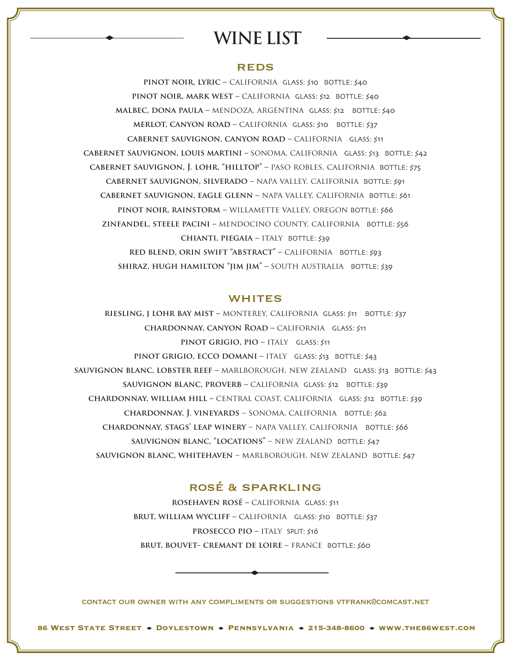# **WINE LIST**

## **REDS**

**pinot noir, lyric –** california GLASS: \$10 BOTTLE: \$40 **pinot noir, mark west –** california GLASS: \$12 BOTTLE: \$40 **malbec, dona paula –** mendoza, argentina GLASS: \$12 BOTTLE: \$40 **merlot, canyon road –** california GLASS: \$10 BOTTLE: \$37 **cabernet sauvignon, canyon road –** californiaGLASS: \$11 **cabernet sauvignon, louis martini –** sonoma, californiaGLASS: \$13 BOTTLE: \$42 **cabernet sauvignon, J. lohr, "hilltop" –** paso robles, californiaBOTTLE: \$75 **cabernet sauvignon, silverado –** napa valley, california BOTTLE: \$91 **cabernet sauvignon, eagle glenn –** napa valley, california BOTTLE: \$61 **pinot noir, rainstorm –** willamette valley, oregon BOTTLE: \$66 **zinfandel, steele pacini –** mendocino county, californiaBOTTLE: \$56 **chianti, piegaia –** italy BOTTLE: \$39 **red blend, orin swift "abstract" –** californiaBOTTLE: \$93 **shiraz, hugh hamilton "jim jim" –** south australiaBOTTLE: \$39

#### **WHITES**

**riesling, j lohr bay mist –** monterey, californiaGLASS: \$11 BOTTLE: \$37 **chardonnay, canyon Road –** californiaGLASS: \$11 **pinot grigio, pio –** italy GLASS: \$11 **pinot grigio, ecco domani –** italyGLASS: \$13 BOTTLE: \$43 **sauvignon blanc, lobster reef –** marlborough, new zealandGLASS: \$13 BOTTLE: \$43 **sauvignon blanc, proverb –** california GLASS: \$12 BOTTLE: \$39 **chardonnay, william hill –** central coast, californiaGLASS: \$12 BOTTLE: \$39 **chardonnay, J. vineyards** – sonoma, california BOTTLE: \$62 **CHARDONNAY, STAGS' LEAP WINERY - NAPA VALLEY, CALIFORNIA BOTTLE: \$66 sauvignon blanc, "locations"** – new zealand BOTTLE: \$47 **SAUVIGNON BLANC, WHITEHAVEN – MARLBOROUGH, NEW ZEALAND BOTTLE: \$47** 

# rosé & sparkling

**rosehaven rosé –** california GLASS: \$11 **brut, william wycliff –** california GLASS: \$10 BOTTLE: \$37 **prosecco pio –** italySPLIT: \$16 **brut, bouvet- cremant de loire –** france BOTTLE: \$60

contact our owner with any compliments or suggestions vtfrank@comcast.net

 $\ddot{\phantom{0}}$ 

**86 WEST STATE STREET + DOYLESTOWN + PENNSYLVANIA + 215-348-8600 + WWW.THE86WEST.COM**